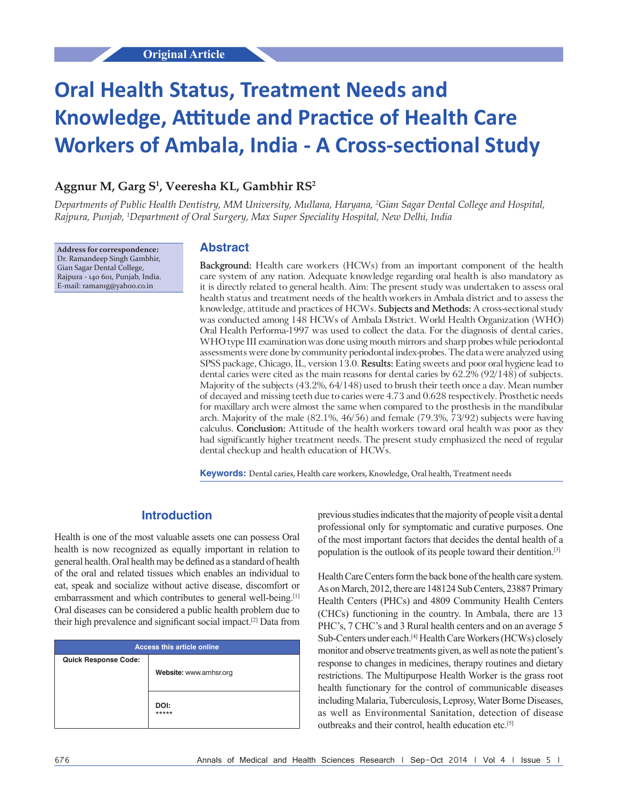# **Oral Health Status, Treatment Needs and Knowledge, Attitude and Practice of Health Care Workers of Ambala, India ‑ A Cross‑sectional Study**

# **Aggnur M, Garg S1 , Veeresha KL, Gambhir RS2**

*Departments of Public Health Dentistry, MM University, Mullana, Haryana, 2 Gian Sagar Dental College and Hospital, Rajpura, Punjab, 1 Department of Oral Surgery, Max Super Speciality Hospital, New Delhi, India*

**Address for correspondence:** Dr. Ramandeep Singh Gambhir, Gian Sagar Dental College, Rajpura ‑ 140 601, Punjab, India. E‑mail: raman1g@yahoo.co.in

## **Abstract**

**Background:** Health care workers (HCWs) from an important component of the health care system of any nation. Adequate knowledge regarding oral health is also mandatory as it is directly related to general health. Aim: The present study was undertaken to assess oral health status and treatment needs of the health workers in Ambala district and to assess the knowledge, attitude and practices of HCWs. **Subjects and Methods:** A cross‑sectional study was conducted among 148 HCWs of Ambala District. World Health Organization (WHO) Oral Health Performa‑1997 was used to collect the data. For the diagnosis of dental caries, WHO type III examination was done using mouth mirrors and sharp probes while periodontal assessments were done by community periodontal index‑probes. The data were analyzed using SPSS package, Chicago, IL, version 13.0. **Results:** Eating sweets and poor oral hygiene lead to dental caries were cited as the main reasons for dental caries by 62.2% (92/148) of subjects. Majority of the subjects (43.2%, 64/148) used to brush their teeth once a day. Mean number of decayed and missing teeth due to caries were 4.73 and 0.628 respectively. Prosthetic needs for maxillary arch were almost the same when compared to the prosthesis in the mandibular arch. Majority of the male (82.1%, 46/56) and female (79.3%, 73/92) subjects were having calculus. **Conclusion:** Attitude of the health workers toward oral health was poor as they had significantly higher treatment needs. The present study emphasized the need of regular dental checkup and health education of HCWs.

**Keywords:** Dental caries, Health care workers, Knowledge, Oral health, Treatment needs

# **Introduction**

Health is one of the most valuable assets one can possess Oral health is now recognized as equally important in relation to general health. Oral health may be defined as a standard of health of the oral and related tissues which enables an individual to eat, speak and socialize without active disease, discomfort or embarrassment and which contributes to general well-being.<sup>[1]</sup> Oral diseases can be considered a public health problem due to their high prevalence and significant social impact.[2] Data from

| <b>Access this article online</b> |                        |  |
|-----------------------------------|------------------------|--|
| <b>Quick Response Code:</b>       |                        |  |
|                                   | Website: www.amhsr.org |  |
|                                   | DOI:<br>*****          |  |

previous studies indicates that the majority of people visit a dental professional only for symptomatic and curative purposes. One of the most important factors that decides the dental health of a population is the outlook of its people toward their dentition.[3]

Health Care Centers form the back bone of the health care system. As on March, 2012, there are 148124 Sub Centers, 23887 Primary Health Centers (PHCs) and 4809 Community Health Centers (CHCs) functioning in the country. In Ambala, there are 13 PHC's, 7 CHC's and 3 Rural health centers and on an average 5 Sub-Centers under each.<sup>[4]</sup> Health Care Workers (HCWs) closely monitor and observe treatments given, as well as note the patient's response to changes in medicines, therapy routines and dietary restrictions. The Multipurpose Health Worker is the grass root health functionary for the control of communicable diseases including Malaria, Tuberculosis, Leprosy, Water Borne Diseases, as well as Environmental Sanitation, detection of disease outbreaks and their control, health education etc.[5]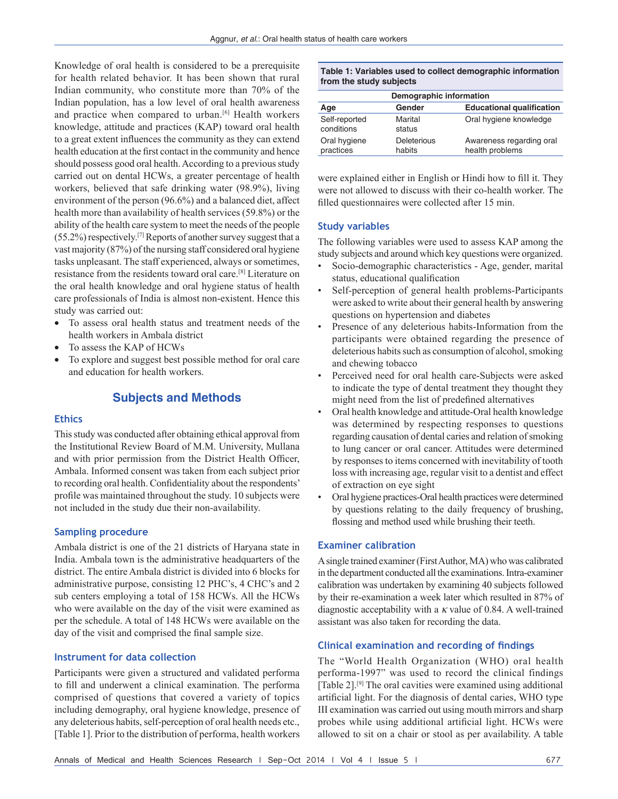Knowledge of oral health is considered to be a prerequisite for health related behavior. It has been shown that rural Indian community, who constitute more than 70% of the Indian population, has a low level of oral health awareness and practice when compared to urban.<sup>[6]</sup> Health workers knowledge, attitude and practices (KAP) toward oral health to a great extent influences the community as they can extend health education at the first contact in the community and hence should possess good oral health. According to a previous study carried out on dental HCWs, a greater percentage of health workers, believed that safe drinking water (98.9%), living environment of the person (96.6%) and a balanced diet, affect health more than availability of health services (59.8%) or the ability of the health care system to meet the needs of the people  $(55.2%)$  respectively.<sup>[7]</sup> Reports of another survey suggest that a vast majority (87%) of the nursing staff considered oral hygiene tasks unpleasant. The staff experienced, always or sometimes, resistance from the residents toward oral care.[8] Literature on the oral health knowledge and oral hygiene status of health care professionals of India is almost non-existent. Hence this study was carried out:

- To assess oral health status and treatment needs of the health workers in Ambala district
- To assess the KAP of HCWs
- To explore and suggest best possible method for oral care and education for health workers.

# **Subjects and Methods**

## **Ethics**

This study was conducted after obtaining ethical approval from the Institutional Review Board of M.M. University, Mullana and with prior permission from the District Health Officer, Ambala. Informed consent was taken from each subject prior to recording oral health. Confidentiality about the respondents' profile was maintained throughout the study. 10 subjects were not included in the study due their non-availability.

## **Sampling procedure**

Ambala district is one of the 21 districts of Haryana state in India. Ambala town is the administrative headquarters of the district. The entire Ambala district is divided into 6 blocks for administrative purpose, consisting 12 PHC's, 4 CHC's and 2 sub centers employing a total of 158 HCWs. All the HCWs who were available on the day of the visit were examined as per the schedule. A total of 148 HCWs were available on the day of the visit and comprised the final sample size.

## **Instrument for data collection**

Participants were given a structured and validated performa to fill and underwent a clinical examination. The performa comprised of questions that covered a variety of topics including demography, oral hygiene knowledge, presence of any deleterious habits, self-perception of oral health needs etc., [Table 1]. Prior to the distribution of performa, health workers

|                         | Table 1: Variables used to collect demographic information |
|-------------------------|------------------------------------------------------------|
| from the study subjects |                                                            |

| Demographic information     |                       |                                             |  |  |
|-----------------------------|-----------------------|---------------------------------------------|--|--|
| Age                         | Gender                | <b>Educational qualification</b>            |  |  |
| Self-reported<br>conditions | Marital<br>status     | Oral hygiene knowledge                      |  |  |
| Oral hygiene<br>practices   | Deleterious<br>habits | Awareness regarding oral<br>health problems |  |  |

were explained either in English or Hindi how to fill it. They were not allowed to discuss with their co-health worker. The filled questionnaires were collected after 15 min.

## **Study variables**

The following variables were used to assess KAP among the study subjects and around which key questions were organized.

- Socio-demographic characteristics Age, gender, marital status, educational qualification
- Self-perception of general health problems-Participants were asked to write about their general health by answering questions on hypertension and diabetes
- Presence of any deleterious habits-Information from the participants were obtained regarding the presence of deleterious habits such as consumption of alcohol, smoking and chewing tobacco
- Perceived need for oral health care-Subjects were asked to indicate the type of dental treatment they thought they might need from the list of predefined alternatives
- Oral health knowledge and attitude-Oral health knowledge was determined by respecting responses to questions regarding causation of dental caries and relation of smoking to lung cancer or oral cancer. Attitudes were determined by responses to items concerned with inevitability of tooth loss with increasing age, regular visit to a dentist and effect of extraction on eye sight
- Oral hygiene practices-Oral health practices were determined by questions relating to the daily frequency of brushing, flossing and method used while brushing their teeth.

## **Examiner calibration**

A single trained examiner (First Author, MA) who was calibrated in the department conducted all the examinations. Intra-examiner calibration was undertaken by examining 40 subjects followed by their re-examination a week later which resulted in 87% of diagnostic acceptability with a *k* value of 0.84. A well-trained assistant was also taken for recording the data.

## **Clinical examination and recording of findings**

The "World Health Organization (WHO) oral health performa-1997" was used to record the clinical findings [Table 2].<sup>[9]</sup> The oral cavities were examined using additional artificial light. For the diagnosis of dental caries, WHO type III examination was carried out using mouth mirrors and sharp probes while using additional artificial light. HCWs were allowed to sit on a chair or stool as per availability. A table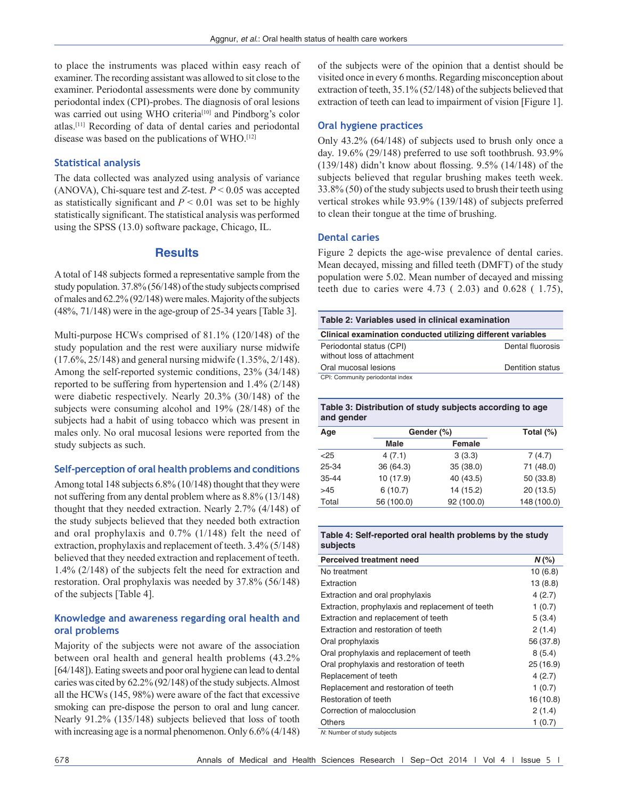to place the instruments was placed within easy reach of examiner. The recording assistant was allowed to sit close to the examiner. Periodontal assessments were done by community periodontal index (CPI)-probes. The diagnosis of oral lesions was carried out using WHO criteria<sup>[10]</sup> and Pindborg's color atlas.[11] Recording of data of dental caries and periodontal disease was based on the publications of WHO.[12]

## **Statistical analysis**

The data collected was analyzed using analysis of variance (ANOVA), Chi-square test and *Z*-test. *P* < 0.05 was accepted as statistically significant and *P* < 0.01 was set to be highly statistically significant. The statistical analysis was performed using the SPSS (13.0) software package, Chicago, IL.

## **Results**

A total of 148 subjects formed a representative sample from the study population. 37.8% (56/148) of the study subjects comprised of males and 62.2% (92/148) were males. Majority of the subjects (48%, 71/148) were in the age-group of 25-34 years [Table 3].

Multi-purpose HCWs comprised of 81.1% (120/148) of the study population and the rest were auxiliary nurse midwife (17.6%, 25/148) and general nursing midwife (1.35%, 2/148). Among the self-reported systemic conditions, 23% (34/148) reported to be suffering from hypertension and 1.4% (2/148) were diabetic respectively. Nearly 20.3% (30/148) of the subjects were consuming alcohol and 19% (28/148) of the subjects had a habit of using tobacco which was present in males only. No oral mucosal lesions were reported from the study subjects as such.

## **Self‑perception of oral health problems and conditions**

Among total 148 subjects 6.8% (10/148) thought that they were not suffering from any dental problem where as 8.8% (13/148) thought that they needed extraction. Nearly 2.7% (4/148) of the study subjects believed that they needed both extraction and oral prophylaxis and 0.7% (1/148) felt the need of extraction, prophylaxis and replacement of teeth. 3.4% (5/148) believed that they needed extraction and replacement of teeth. 1.4% (2/148) of the subjects felt the need for extraction and restoration. Oral prophylaxis was needed by 37.8% (56/148) of the subjects [Table 4].

## **Knowledge and awareness regarding oral health and oral problems**

Majority of the subjects were not aware of the association between oral health and general health problems (43.2% [64/148]). Eating sweets and poor oral hygiene can lead to dental caries was cited by 62.2% (92/148) of the study subjects. Almost all the HCWs (145, 98%) were aware of the fact that excessive smoking can pre-dispose the person to oral and lung cancer. Nearly 91.2% (135/148) subjects believed that loss of tooth with increasing age is a normal phenomenon. Only 6.6% (4/148) of the subjects were of the opinion that a dentist should be visited once in every 6 months. Regarding misconception about extraction of teeth, 35.1% (52/148) of the subjects believed that extraction of teeth can lead to impairment of vision [Figure 1].

## **Oral hygiene practices**

Only 43.2% (64/148) of subjects used to brush only once a day. 19.6% (29/148) preferred to use soft toothbrush. 93.9% (139/148) didn't know about flossing. 9.5% (14/148) of the subjects believed that regular brushing makes teeth week. 33.8% (50) of the study subjects used to brush their teeth using vertical strokes while 93.9% (139/148) of subjects preferred to clean their tongue at the time of brushing.

## **Dental caries**

Figure 2 depicts the age-wise prevalence of dental caries. Mean decayed, missing and filled teeth (DMFT) of the study population were 5.02. Mean number of decayed and missing teeth due to caries were 4.73 ( 2.03) and 0.628 ( 1.75),

| Table 2: Variables used in clinical examination              |                  |  |  |  |
|--------------------------------------------------------------|------------------|--|--|--|
| Clinical examination conducted utilizing different variables |                  |  |  |  |
| Periodontal status (CPI)<br>without loss of attachment       | Dental fluorosis |  |  |  |
| Oral mucosal lesions                                         | Dentition status |  |  |  |
| CPI: Community periodontal index                             |                  |  |  |  |

## **Table 3: Distribution of study subjects according to age and gender**

| Age       | Gender (%) |            | Total $(\%)$ |
|-----------|------------|------------|--------------|
|           | Male       | Female     |              |
| < 25      | 4(7.1)     | 3(3.3)     | 7(4.7)       |
| 25-34     | 36 (64.3)  | 35(38.0)   | 71 (48.0)    |
| $35 - 44$ | 10 (17.9)  | 40 (43.5)  | 50 (33.8)    |
| >45       | 6(10.7)    | 14 (15.2)  | 20(13.5)     |
| Total     | 56 (100.0) | 92 (100.0) | 148 (100.0)  |

#### **Table 4: Self‑reported oral health problems by the study subjects**

| <b>Perceived treatment need</b>                  | $N$ (%)   |
|--------------------------------------------------|-----------|
| No treatment                                     | 10(6.8)   |
| Extraction                                       | 13(8.8)   |
| Extraction and oral prophylaxis                  | 4(2.7)    |
| Extraction, prophylaxis and replacement of teeth | 1(0.7)    |
| Extraction and replacement of teeth              | 5(3.4)    |
| Extraction and restoration of teeth              | 2(1.4)    |
| Oral prophylaxis                                 | 56 (37.8) |
| Oral prophylaxis and replacement of teeth        | 8(5.4)    |
| Oral prophylaxis and restoration of teeth        | 25(16.9)  |
| Replacement of teeth                             | 4(2.7)    |
| Replacement and restoration of teeth             | 1(0.7)    |
| Restoration of teeth                             | 16(10.8)  |
| Correction of malocclusion                       | 2(1.4)    |
| Others                                           | 1(0.7)    |
| Ali Number of otudy oubjacts                     |           |

*N*: Number of study subjects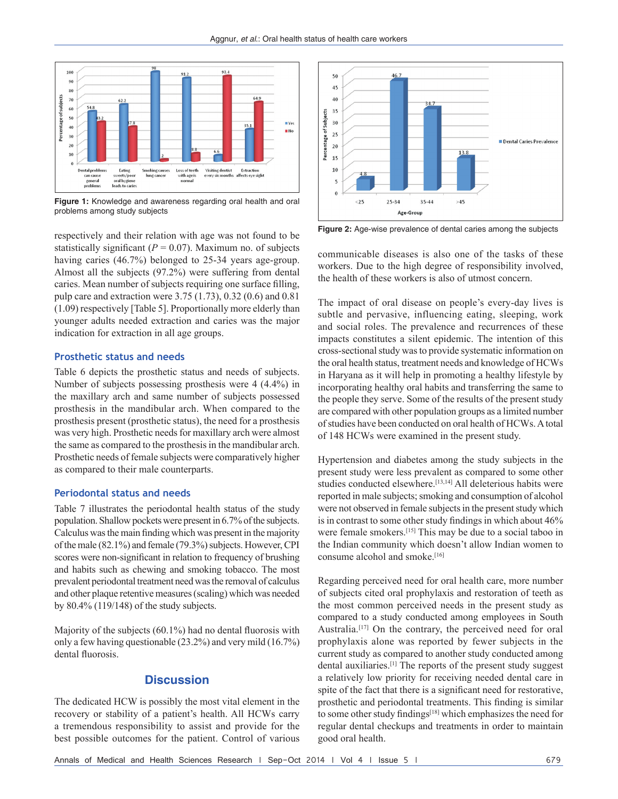

**Figure 1:** Knowledge and awareness regarding oral health and oral problems among study subjects

respectively and their relation with age was not found to be statistically significant ( $P = 0.07$ ). Maximum no. of subjects having caries (46.7%) belonged to 25-34 years age-group. Almost all the subjects (97.2%) were suffering from dental caries. Mean number of subjects requiring one surface filling, pulp care and extraction were 3.75 (1.73), 0.32 (0.6) and 0.81 (1.09) respectively [Table 5]. Proportionally more elderly than younger adults needed extraction and caries was the major indication for extraction in all age groups.

## **Prosthetic status and needs**

Table 6 depicts the prosthetic status and needs of subjects. Number of subjects possessing prosthesis were 4 (4.4%) in the maxillary arch and same number of subjects possessed prosthesis in the mandibular arch. When compared to the prosthesis present (prosthetic status), the need for a prosthesis was very high. Prosthetic needs for maxillary arch were almost the same as compared to the prosthesis in the mandibular arch. Prosthetic needs of female subjects were comparatively higher as compared to their male counterparts.

## **Periodontal status and needs**

Table 7 illustrates the periodontal health status of the study population. Shallow pockets were present in 6.7% of the subjects. Calculus wasthe main finding which was present in the majority of the male (82.1%) and female (79.3%) subjects. However, CPI scores were non-significant in relation to frequency of brushing and habits such as chewing and smoking tobacco. The most prevalent periodontal treatment need was the removal of calculus and other plaque retentive measures (scaling) which was needed by 80.4% (119/148) of the study subjects.

Majority of the subjects (60.1%) had no dental fluorosis with only a few having questionable (23.2%) and very mild (16.7%) dental fluorosis.

## **Discussion**

The dedicated HCW is possibly the most vital element in the recovery or stability of a patient's health. All HCWs carry a tremendous responsibility to assist and provide for the best possible outcomes for the patient. Control of various



**Figure 2:** Age-wise prevalence of dental caries among the subjects

communicable diseases is also one of the tasks of these workers. Due to the high degree of responsibility involved, the health of these workers is also of utmost concern.

The impact of oral disease on people's every-day lives is subtle and pervasive, influencing eating, sleeping, work and social roles. The prevalence and recurrences of these impacts constitutes a silent epidemic. The intention of this cross-sectional study was to provide systematic information on the oral health status, treatment needs and knowledge of HCWs in Haryana as it will help in promoting a healthy lifestyle by incorporating healthy oral habits and transferring the same to the people they serve. Some of the results of the present study are compared with other population groups as a limited number of studies have been conducted on oral health of HCWs. A total of 148 HCWs were examined in the present study.

Hypertension and diabetes among the study subjects in the present study were less prevalent as compared to some other studies conducted elsewhere.<sup>[13,14]</sup> All deleterious habits were reported in male subjects; smoking and consumption of alcohol were not observed in female subjects in the present study which is in contrast to some other study findings in which about 46% were female smokers.[15] This may be due to a social taboo in the Indian community which doesn't allow Indian women to consume alcohol and smoke.[16]

Regarding perceived need for oral health care, more number of subjects cited oral prophylaxis and restoration of teeth as the most common perceived needs in the present study as compared to a study conducted among employees in South Australia.<sup>[17]</sup> On the contrary, the perceived need for oral prophylaxis alone was reported by fewer subjects in the current study as compared to another study conducted among dental auxiliaries.[1] The reports of the present study suggest a relatively low priority for receiving needed dental care in spite of the fact that there is a significant need for restorative, prosthetic and periodontal treatments. This finding is similar to some other study findings<sup>[18]</sup> which emphasizes the need for regular dental checkups and treatments in order to maintain good oral health.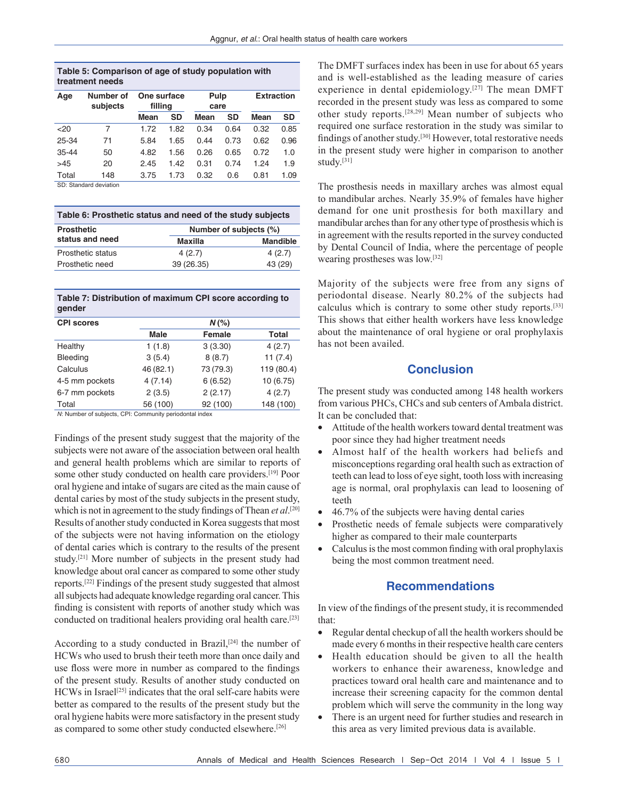| Table 5: Comparison of age of study population with |  |
|-----------------------------------------------------|--|
| treatment needs                                     |  |

| Age   | Number of<br>subjects | One surface<br>filling |      | Pulp<br>care |      | <b>Extraction</b> |      |
|-------|-----------------------|------------------------|------|--------------|------|-------------------|------|
|       |                       | Mean                   | SD   | Mean         | SD   | Mean              | SD   |
| 20    | 7                     | 1.72                   | 1.82 | 0.34         | 0.64 | 0.32              | 0.85 |
| 25-34 | 71                    | 5.84                   | 1.65 | 0.44         | 0.73 | 0.62              | 0.96 |
| 35-44 | 50                    | 4.82                   | 1.56 | 0.26         | 0.65 | 0.72              | 1.0  |
| >45   | 20                    | 2.45                   | 1.42 | 0.31         | 0.74 | 1.24              | 1.9  |
| Total | 148                   | 3.75                   | 1.73 | 0.32         | 0.6  | 0.81              | 1.09 |

SD: Standard deviation

| Table 6: Prosthetic status and need of the study subjects |                        |                 |  |
|-----------------------------------------------------------|------------------------|-----------------|--|
| <b>Prosthetic</b>                                         | Number of subjects (%) |                 |  |
| status and need                                           | Maxilla                | <b>Mandible</b> |  |
| Prosthetic status                                         | 4(2.7)                 | 4(2.7)          |  |
| Prosthetic need                                           | 39 (26.35)             | 43 (29)         |  |

## **Table 7: Distribution of maximum CPI score according to gender**

| <b>CPI scores</b> | $N$ (%)   |               |              |  |  |
|-------------------|-----------|---------------|--------------|--|--|
|                   | Male      | <b>Female</b> | <b>Total</b> |  |  |
| Healthy           | 1(1.8)    | 3(3.30)       | 4(2.7)       |  |  |
| Bleeding          | 3(5.4)    | 8(8.7)        | 11(7.4)      |  |  |
| Calculus          | 46 (82.1) | 73 (79.3)     | 119 (80.4)   |  |  |
| 4-5 mm pockets    | 4(7.14)   | 6(6.52)       | 10 (6.75)    |  |  |
| 6-7 mm pockets    | 2(3.5)    | 2(2.17)       | 4(2.7)       |  |  |
| Total             | 56 (100)  | 92 (100)      | 148 (100)    |  |  |
| .                 |           | .             |              |  |  |

*N*: Number of subjects, CPI: Community periodontal index

Findings of the present study suggest that the majority of the subjects were not aware of the association between oral health and general health problems which are similar to reports of some other study conducted on health care providers.[19] Poor oral hygiene and intake of sugars are cited as the main cause of dental caries by most of the study subjects in the present study, which is not in agreement to the study findings of Thean *et al*.<sup>[20]</sup> Results of another study conducted in Korea suggests that most of the subjects were not having information on the etiology of dental caries which is contrary to the results of the present study.[21] More number of subjects in the present study had knowledge about oral cancer as compared to some other study reports.[22] Findings of the present study suggested that almost all subjects had adequate knowledge regarding oral cancer. This finding is consistent with reports of another study which was conducted on traditional healers providing oral health care.[23]

According to a study conducted in Brazil,<sup>[24]</sup> the number of HCWs who used to brush their teeth more than once daily and use floss were more in number as compared to the findings of the present study. Results of another study conducted on HCWs in Israel<sup>[25]</sup> indicates that the oral self-care habits were better as compared to the results of the present study but the oral hygiene habits were more satisfactory in the present study as compared to some other study conducted elsewhere.[26]

The DMFT surfaces index has been in use for about 65 years and is well-established as the leading measure of caries experience in dental epidemiology.<sup>[27]</sup> The mean DMFT recorded in the present study was less as compared to some other study reports.[28,29] Mean number of subjects who required one surface restoration in the study was similar to findings of another study.[30] However, total restorative needs in the present study were higher in comparison to another study.[31]

The prosthesis needs in maxillary arches was almost equal to mandibular arches. Nearly 35.9% of females have higher demand for one unit prosthesis for both maxillary and mandibular arches than for any other type of prosthesis which is in agreement with the results reported in the survey conducted by Dental Council of India, where the percentage of people wearing prostheses was low.[32]

Majority of the subjects were free from any signs of periodontal disease. Nearly 80.2% of the subjects had calculus which is contrary to some other study reports.[33] This shows that either health workers have less knowledge about the maintenance of oral hygiene or oral prophylaxis has not been availed.

# **Conclusion**

The present study was conducted among 148 health workers from various PHCs, CHCs and sub centers of Ambala district. It can be concluded that:

- Attitude of the health workers toward dental treatment was poor since they had higher treatment needs
- Almost half of the health workers had beliefs and misconceptions regarding oral health such as extraction of teeth can lead to loss of eye sight, tooth loss with increasing age is normal, oral prophylaxis can lead to loosening of teeth
- $46.7\%$  of the subjects were having dental caries
- Prosthetic needs of female subjects were comparatively higher as compared to their male counterparts
- $\bullet$  Calculus is the most common finding with oral prophylaxis being the most common treatment need.

# **Recommendations**

In view of the findings of the present study, it is recommended that:

- Regular dental checkup of all the health workers should be made every 6 months in their respective health care centers
- Health education should be given to all the health workers to enhance their awareness, knowledge and practices toward oral health care and maintenance and to increase their screening capacity for the common dental problem which will serve the community in the long way
- There is an urgent need for further studies and research in this area as very limited previous data is available.